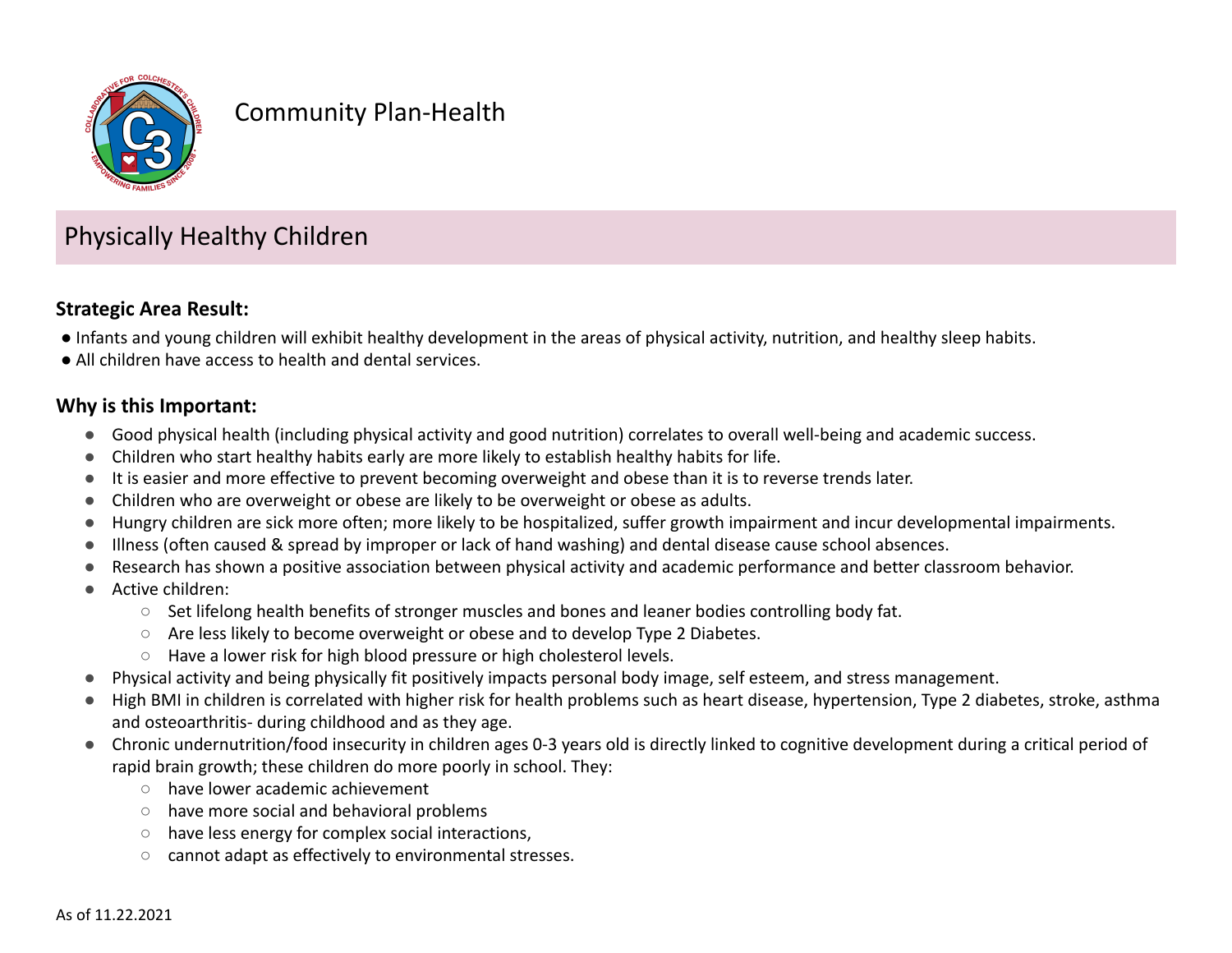

# Community Plan-Health

# Physically Healthy Children

## **Strategic Area Result:**

- Infants and young children will exhibit healthy development in the areas of physical activity, nutrition, and healthy sleep habits.
- All children have access to health and dental services.

#### **Why is this Important:**

- Good physical health (including physical activity and good nutrition) correlates to overall well-being and academic success.
- Children who start healthy habits early are more likely to establish healthy habits for life.
- It is easier and more effective to prevent becoming overweight and obese than it is to reverse trends later.
- Children who are overweight or obese are likely to be overweight or obese as adults.
- Hungry children are sick more often; more likely to be hospitalized, suffer growth impairment and incur developmental impairments.
- Illness (often caused & spread by improper or lack of hand washing) and dental disease cause school absences.
- Research has shown a positive association between physical activity and academic performance and better classroom behavior.
- Active children:
	- Set lifelong health benefits of stronger muscles and bones and leaner bodies controlling body fat.
	- Are less likely to become overweight or obese and to develop Type 2 Diabetes.
	- Have a lower risk for high blood pressure or high cholesterol levels.
- Physical activity and being physically fit positively impacts personal body image, self esteem, and stress management.
- High BMI in children is correlated with higher risk for health problems such as heart disease, hypertension, Type 2 diabetes, stroke, asthma and osteoarthritis- during childhood and as they age.
- Chronic undernutrition/food insecurity in children ages 0-3 years old is directly linked to cognitive development during a critical period of rapid brain growth; these children do more poorly in school. They:
	- have lower academic achievement
	- have more social and behavioral problems
	- have less energy for complex social interactions,
	- cannot adapt as effectively to environmental stresses.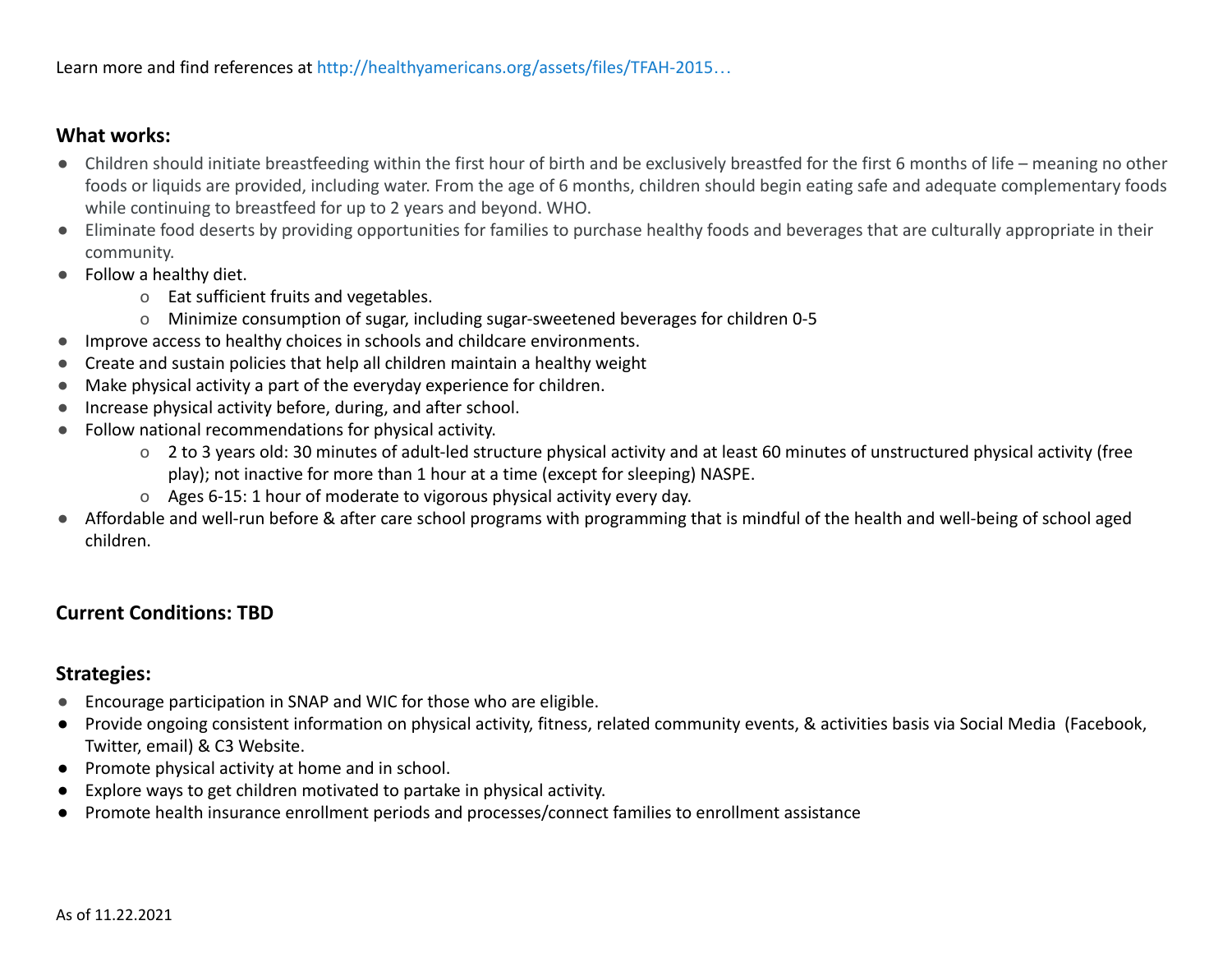#### **What works:**

- Children should initiate breastfeeding within the first hour of birth and be exclusively breastfed for the first 6 months of life meaning no other foods or liquids are provided, including water. From the age of 6 months, children should begin eating safe and adequate complementary foods while continuing to breastfeed for up to 2 years and beyond. WHO.
- Eliminate food deserts by providing opportunities for families to purchase healthy foods and beverages that are culturally appropriate in their community.
- Follow a healthy diet.
	- o Eat sufficient fruits and vegetables.
	- o Minimize consumption of sugar, including sugar-sweetened beverages for children 0-5
- Improve access to healthy choices in schools and childcare environments.
- Create and sustain policies that help all children maintain a healthy weight
- Make physical activity a part of the everyday experience for children.
- Increase physical activity before, during, and after school.
- Follow national recommendations for physical activity.
	- o 2 to 3 years old: 30 minutes of adult-led structure physical activity and at least 60 minutes of unstructured physical activity (free play); not inactive for more than 1 hour at a time (except for sleeping) NASPE.
	- o Ages 6-15: 1 hour of moderate to vigorous physical activity every day.
- Affordable and well-run before & after care school programs with programming that is mindful of the health and well-being of school aged children.

# **Current Conditions: TBD**

## **Strategies:**

- Encourage participation in SNAP and WIC for those who are eligible.
- Provide ongoing consistent information on physical activity, fitness, related community events, & activities basis via Social Media (Facebook, Twitter, email) & C3 Website.
- Promote physical activity at home and in school.
- Explore ways to get children motivated to partake in physical activity.
- Promote health insurance enrollment periods and processes/connect families to enrollment assistance